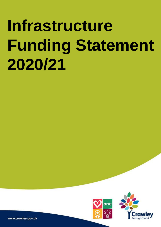



www.crawley.gov.uk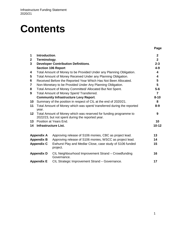# **Contents**

| 1                       | Introduction.                                                   |                                                                                                                       | $\mathbf{2}$   |  |  |  |  |  |
|-------------------------|-----------------------------------------------------------------|-----------------------------------------------------------------------------------------------------------------------|----------------|--|--|--|--|--|
| $\mathbf{2}$            | Terminology.                                                    |                                                                                                                       | $\overline{2}$ |  |  |  |  |  |
| 3                       |                                                                 | <b>Developer Contribution Definitions.</b>                                                                            | $2 - 3$        |  |  |  |  |  |
|                         |                                                                 | <b>Section 106 Report</b>                                                                                             | $4 - 9$        |  |  |  |  |  |
| 4                       |                                                                 | Total Amount of Money to be Provided Under any Planning Obligation.                                                   | 4              |  |  |  |  |  |
| 5                       | Total Amount of Money Received Under any Planning Obligation.   |                                                                                                                       |                |  |  |  |  |  |
| 6                       | Received Before the Reported Year Which Has Not Been Allocated. |                                                                                                                       |                |  |  |  |  |  |
| $\overline{\mathbf{7}}$ |                                                                 | Non-Monetary to be Provided Under Any Planning Obligation.                                                            | 5              |  |  |  |  |  |
| 8                       |                                                                 | Total Amount of Money Committed/ Allocated But Not Spent.                                                             | $5-6$          |  |  |  |  |  |
| 9                       |                                                                 | Total Amount of Money Spent/ Transferred.                                                                             | $\overline{7}$ |  |  |  |  |  |
|                         |                                                                 | <b>Community Infrastructure Levy Report.</b>                                                                          | $8 - 10$       |  |  |  |  |  |
| 10 <sup>°</sup>         |                                                                 | Summary of the position in respect of CIL at the end of 2020/21.                                                      | 8              |  |  |  |  |  |
| 11                      | year.                                                           | Total Amount of Money which was spent/ transferred during the reported                                                | $8 - 9$        |  |  |  |  |  |
| 12                      |                                                                 | Total Amount of Money which was reserved for funding programme to<br>2022/23, but not spent during the reported year. | 9              |  |  |  |  |  |
| 13                      |                                                                 | Position at Years End.                                                                                                | 10             |  |  |  |  |  |
| 14                      |                                                                 | <b>Infrastructure List.</b>                                                                                           | $10 - 12$      |  |  |  |  |  |
|                         | <b>Appendix A</b>                                               | Approving release of S106 monies, CBC as project lead.                                                                | 13             |  |  |  |  |  |
|                         | <b>Appendix B</b>                                               | Approving release of S106 monies, WSCC as project lead.                                                               | 14             |  |  |  |  |  |
|                         | <b>Appendix C</b>                                               | Ewhurst Play and Medlar Close, case study of S106 funded<br>project.                                                  | 15             |  |  |  |  |  |
| <b>Appendix D</b>       |                                                                 | CIL Neighbourhood Improvement Strand - Crowdfunding<br>Governance.                                                    | 16             |  |  |  |  |  |
|                         | <b>Appendix E</b>                                               | CIL Strategic Improvement Strand - Governance.                                                                        | 17             |  |  |  |  |  |

**Section Page**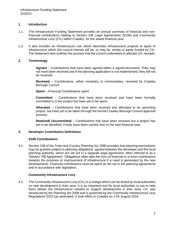# **1. Introduction**

- 1.1. The Infrastructure Funding Statement provides an annual summary of financial and nonfinancial contributions relating to Section 106 Legal Agreements (S106) and Community Infrastructure Levy (CIL) within Crawley, for the stated financial year.
- 1.2. It also includes an Infrastructure List, which describes infrastructure projects or types of infrastructure which the council intends will be, or may be, wholly or partly funded by CIL. The Statement also outlines the process that the council undertakes to allocate CIL receipts.

# **2. Terminology**

**Agreed** – Contributions that have been agreed within a signed document. They may not have been received and if the planning application is not implemented, they will not be received.

**Received** – Contributions, either monetary or nonmonetary, received by Crawley Borough Council

**Spent** – Financial Contributions spent

**Committed** – Contributions that have been received and have been formally committed to a live project but have yet to be spent.

**Allocated** – Contributions that have been received and allocated to an upcoming project, but have yet to be taken through the formal Crawley Borough Council approval process.

**Retained/ Uncommitted** – Contributions that have been received but a project has yet to be identified. Funds have been carried over to the next financial year.

## **3. Developer Contribution Definitions**

## **S106 Contributions**

3.1. Section 106 of the Town and Country Planning Act 1990 provides that planning permissions may be granted subject to planning obligations, agreed between the developer and the local planning authority, which are set out in a separate legal agreement, often referred to as a 'Section 106 Agreement'. Obligations often take the form of financial or in-kind contributions towards the provision or improvement of infrastructure if a need is generated by the new developments. Financial contributions must be spent as set out in the planning agreements and in accordance with legislation.

# **Community Infrastructure Levy**

3.2. The Community Infrastructure Levy (CIL) is a charge which can be levied by local authorities on new development in their area. It is an important tool for local authorities to use to help them deliver the infrastructure needed to support development in their area. CIL was introduced by the Planning Act 2008 and is governed by the Community Infrastructure Levy Regulations 2010 (as amended). It took effect in Crawley on 17th August 2016.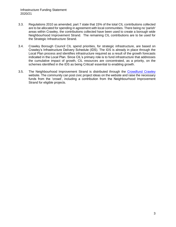- 3.3. Regulations 2010 as amended, part 7 state that 15% of the total CIL contributions collected are to be allocated for spending in agreement with local communities. There being no 'parish' areas within Crawley, the contributions collected have been used to create a borough wide Neighbourhood Improvement Strand. The remaining CIL contributions are to be used for the Strategic Infrastructure Strand.
- 3.4. Crawley Borough Council CIL spend priorities, for strategic infrastructure, are based on Crawley's Infrastructure Delivery Schedule (IDS). The IDS is already in place through the Local Plan process and identifies infrastructure required as a result of the growth forecasts indicated in the Local Plan. Since CIL's primary role is to fund infrastructure that addresses the cumulative impact of growth, CIL resources are concentrated, as a priority, on the schemes identified in the IDS as being Critical/ essential to enabling growth.
- 3.5. The Neighbourhood Improvement Strand is distributed through the [Crowdfund Crawley](https://www.spacehive.com/movement/crawley/projects) website. The community can post civic project ideas on the website and raise the necessary funds from the 'crowd', including a contribution from the Neighbourhood Improvement Strand for eligible projects.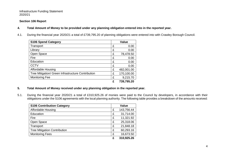#### **Section 106 Report**

- **4. Total Amount of Money to be provided under any planning obligation entered into in the reported year.**
- 4.1. During the financial year 2020/21 a total of £739,795.20 of planning obligations were entered into with Crawley Borough Council.

| <b>S106 Spend Category</b>                         |   | <b>Value</b> |
|----------------------------------------------------|---|--------------|
| Transport                                          | £ | 0.00         |
| Library                                            | £ | 0.00         |
| Open Space                                         | £ | 78,478.50    |
| Fire                                               | £ | 0.00         |
| Education                                          | £ | 0.00         |
| <b>CCTV</b>                                        | £ | 0.00         |
| Affordable Housing                                 | £ | 482,001.00   |
| Tree Mitigation/ Green Infrastructure Contribution | £ | 170,100.00   |
| <b>Monitoring Fee</b>                              | £ | 9,215.70     |
|                                                    | £ | 739,795.20   |

- **5. Total Amount of Money received under any planning obligation in the reported year.**
- 5.1. During the financial year 2020/21 a total of £310,925.26 of monies were paid to the Council by developers, in accordance with their obligations under the S106 agreements with the local planning authority. The following table provides a breakdown of the amounts received:

| <b>S106 Contribution Category</b>   |   | <b>Value</b> |  |  |  |
|-------------------------------------|---|--------------|--|--|--|
| Affordable Housing                  | £ | 143,756.44   |  |  |  |
| Education                           | £ | 31,714.00    |  |  |  |
| Fire                                | £ | 11,321.92    |  |  |  |
| Open Space                          | £ | 25,318.06    |  |  |  |
| Transport                           | £ | 21,848.18    |  |  |  |
| <b>Tree Mitigation Contribution</b> | £ | 60,293.16    |  |  |  |
| <b>Monitoring Fees</b>              | £ | 16,673.50    |  |  |  |
|                                     | £ | 310,925.26   |  |  |  |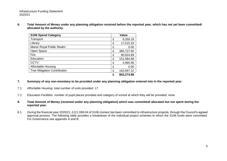**6. Total Amount of Money under any planning obligation received before the reported year, which has not yet been committed/ allocated by the authority.**

| <b>S106 Spend Category</b>          | <b>Value</b> |            |  |  |
|-------------------------------------|--------------|------------|--|--|
| Transport                           | £            | 9,359.18   |  |  |
| Library                             | £            | 17,515.33  |  |  |
| Manor Royal Public Realm            | £            | 0.00       |  |  |
| Open Space                          | £            | 365,727.60 |  |  |
| Fire                                | £            | 90,924.89  |  |  |
| Education                           | £            | 151,084.68 |  |  |
| <b>CCTV</b>                         | £            | 4,965.96   |  |  |
| Affordable Housing                  | £            | 0.00       |  |  |
| <b>Tree Mitigation Contribution</b> | £            | 162,697.22 |  |  |
|                                     |              | 802,274.86 |  |  |

- **7. Summary of any non-monetary to be provided under any planning obligation entered into in the reported year.**
- 7.1. Affordable Housing: total number of units provided: 17
- 7.2. Education Facilities: number of pupil places provided and category of school at which they will be provided: none.
- **8. Total Amount of Money (received under any planning obligation) which was committed/ allocated but not spent during the reported year.**
- 8.1. During the financial year 2020/21, £121,936.04 of S106 monies has been committed to infrastructure projects, through the Council's agreed approval process. The following table provides a breakdown of the individual project schemes to which the S106 funds were committed. For Governance see appendix A and B.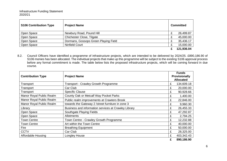| <b>S106 Contribution Type</b> | <b>Project Name</b>                  |  | <b>Committed</b> |
|-------------------------------|--------------------------------------|--|------------------|
| Open Space                    | Newbury Road, Pound Hill             |  | 26,499.87        |
| Open Space                    | Chichester Close, Tilgate            |  | 45,000.00        |
| Open Space                    | Dormans, Gossops Green Playing Field |  | 35,436.17        |
| Open Space                    | Ninfield Court                       |  | 15,000.00        |
|                               |                                      |  | 121,936.04       |

8.2. Council Officers have identified a programme of infrastructure projects, which are intended to be delivered by 2024/25. £890,186.90 of S106 monies has been allocated. The individual projects that make up this programme will be subject to the existing S106 approval process before any formal commitment is made. The table below lists the proposed infrastructure projects, which will be coming forward in due course.

| <b>Contribution Type</b>  | <b>Project Name</b>                                  |   | <b>Funds</b><br>Provisionally<br><b>Allocated</b> |
|---------------------------|------------------------------------------------------|---|---------------------------------------------------|
| Transport                 | <b>Transport - Crawley Growth Programme</b>          | £ | 134,609.18                                        |
| Transport                 | Car Club                                             | £ | 20,000.00                                         |
| Transport                 | <b>Specific Clause</b>                               | £ | 90,928.66                                         |
| Manor Royal Public Realm  | County Oak or Metcalf Way Pocket Parks               | £ | 1,400.00                                          |
| Manor Royal Public Realm  | Public realm improvements at Crawters Brook          | £ | 22,846.00                                         |
| Manor Royal Public Realm  | towards the Gateway 2 / street furniture in zone 3   | £ | 9,960.30                                          |
| Library                   | Business and information services at Crawley Library | £ | 26,455.33                                         |
| Open Space                | Southgate Playing Fields                             | £ | 47,292.87                                         |
| Open Space                | <b>Allotments</b>                                    | £ | 2,794.25                                          |
| <b>Town Centre</b>        | Town Centre - Crawley Growth Programme               | £ | 12,232.88                                         |
| <b>Town Centre</b>        | Art within the Town Centre                           | £ | 40,000.00                                         |
| Fire                      | <b>Breathing Equipment</b>                           | £ | 50,000.00                                         |
| <b>CCTV</b>               | Car Club                                             | £ | 28,325.00                                         |
| <b>Affordable Housing</b> | Longley House                                        | £ | 403,342.43                                        |
|                           |                                                      | £ | 890,186.90                                        |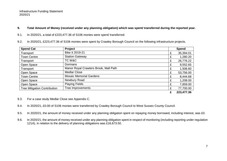# **9. Total Amount of Money (received under any planning obligation) which was spent/ transferred during the reported year.**

- 9.1. In 2020/21, a total of £223,477.36 of S106 monies were spent/ transferred.
- 9.2. In 2020/21, £223,477.36 of S106 monies were spent by Crawley Borough Council on the following infrastructure projects.

| <b>Spend Cat</b>                    | Project                               |   | <b>Spend</b> |
|-------------------------------------|---------------------------------------|---|--------------|
| Transport                           | Bike It 2019-21                       | £ | 35,394.01    |
| <b>Town Centre</b>                  | <b>Station Gateway</b>                | £ | 1,280.20     |
| Transport                           | TC W&C                                | £ | 26,776.22    |
| Open Space                          | Dormans                               | £ | 9,552.65     |
| Transport                           | Manor Royal Crawters Brook, Mall Path |   | 1,506.60     |
| Open Space                          | <b>Medlar Close</b>                   | £ | 53,756.00    |
| <b>Town Centre</b>                  | <b>Mosaic Memorial Gardens</b>        | £ | 8,444.68     |
| Open Space                          | Newbury Road                          | £ | 1,208.00     |
| Open Space                          | <b>Playing Fields</b>                 | £ | 7,859.00     |
| <b>Tree Mitigation Contribution</b> | <b>Tree Improvements</b>              | £ | 77,700.00    |
|                                     |                                       |   | 223,477.36   |

- 9.3. For a case study Medlar Close see Appendix C.
- 9.4. In 2020/21, £0.00 of S106 monies were transferred by Crawley Borough Council to West Sussex County Council.
- 9.5. In 2020/21, the amount of money received under any planning obligation spent on repaying money borrowed, including interest, was £0.
- 9.6. In 2020/21, the amount of money received under any planning obligation spent in respect of monitoring (including reporting under regulation 121A), in relation to the delivery of planning obligations was £16,673.50.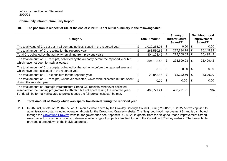# **Community Infrastructure Levy Report**

### **10. The position in respect of CIL at the end of 2020/21 is set out in summary in the following table:**

| Category                                                                                                                                                                                                                                                              | <b>Total Amount</b> |              |   | <b>Strategic</b><br><b>Infrastructure</b><br>Strand[1] | Neighbourhood<br>Improvement<br>Strand[2] |           |  |
|-----------------------------------------------------------------------------------------------------------------------------------------------------------------------------------------------------------------------------------------------------------------------|---------------------|--------------|---|--------------------------------------------------------|-------------------------------------------|-----------|--|
| The total value of CIL set out in all demand notices issued in the reported year                                                                                                                                                                                      | £                   | 1,019,268.03 | £ | 0.00                                                   | E                                         | 0.00      |  |
| The total amount of CIL receipts for the reported year                                                                                                                                                                                                                |                     | 263,530.66   | £ | $227,384.74$   £                                       |                                           | 36,145.92 |  |
| Total CIL collected by the authority remaining from previous years                                                                                                                                                                                                    | £                   | 304,108.45   | £ | 278,609.03                                             | £                                         | 25,499.42 |  |
| The total amount of CIL receipts, collected by the authority before the reported year but<br>which have not been formally allocated                                                                                                                                   | £                   | 304,108.45   | £ | $278,609.03 \mid E$                                    |                                           | 25,499.42 |  |
| The total amount of CIL receipts, collected by the authority before the reported year and<br>which have been allocated in the reported year                                                                                                                           | £                   | 0.00         | £ | 0.00                                                   |                                           | 0.00      |  |
| The total amount of CIL expenditure for the reported year                                                                                                                                                                                                             | £                   | 20,848.56    | £ | 12,222.56                                              | £                                         | 8,626.00  |  |
| The total amount of CIL receipts, whenever collected, which were allocated but not spent<br>during the reported year                                                                                                                                                  | £                   | 0.00         | £ | 0.00                                                   |                                           | 0.00      |  |
| The total amount of Strategic Infrastructure Strand CIL receipts, whenever collected,<br>reserved for the funding programme to 2022/23 but not spent during the reported year.<br>Funds will be formally allocated to projects once the full project cost can be met. | £                   | 493,771.21   | £ | 493,771.21                                             |                                           | N/A       |  |

# **11. Total Amount of Money which was spent/ transferred during the reported year**

11.1. In 2020/21, a total of £20,848.56 of CIL monies were spent by the Crawley Borough Council. During 2020/21, £12,222.56 was applied to administration costs, including operational costs for the [Crowdfund Crawley](https://www.spacehive.com/movement/crawley) website. The Neighbourhood Improvement Strand is distributed through the [Crowdfund Crawley](https://www.spacehive.com/movement/crawley/projects) website, for governance see Appendix D. £8,626 in grants, from the Neighbourhood Improvement Strand, were made to community groups to deliver a wide range of projects identified through the Crowdfund Crawley website. The below table provides a breakdown of the individual project.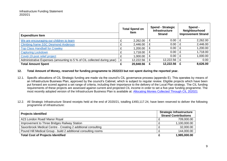| <b>Expenditure Item</b>                                                 |   | <b>Total Spend on</b><br><b>Item</b> |   | <b>Spend - Strategic</b><br><b>Infrastructure</b><br><b>Strand</b> |   | Spend -<br>Neighbourhood<br><b>Improvement Strand</b> |
|-------------------------------------------------------------------------|---|--------------------------------------|---|--------------------------------------------------------------------|---|-------------------------------------------------------|
| We are encouraging our children to learn                                |   | 2,262.00                             |   | 0.00                                                               | £ | 2,262.00                                              |
| <b>Climbing frame SSC Desmond Anderson</b>                              |   | 2,446.00                             | £ | 0.00                                                               | £ | 2,446.00                                              |
| <b>Top Class Handball for Crawley</b>                                   |   | 1,200.00                             | £ | 0.00                                                               | £ | 1,200.00                                              |
| <b>Capturing Lockdown</b>                                               |   | 1,718.00                             |   | 0.00                                                               | £ | 1,718.00                                              |
| Covid-19 post relief project                                            |   | 1,000.00                             |   | 0.00                                                               | £ | 1,000.00                                              |
| Administrative Expenses (amounting to 5 % of CIL collected during year) | £ | 12,222.56                            | £ | 12,222.56                                                          | £ | 0.00                                                  |
| <b>Total Amount Spent</b>                                               |   | 20,848.56                            |   | 12,222.56                                                          |   | 8,626.00                                              |

### **12. Total Amount of Money, reserved for funding programme to 2022/23 but not spent during the reported year.**

- 12.1. Specific allocations of CIL Strategic funding are made via the council's CIL governance process (appendix E). This operates by means of an Infrastructure Business Plan, approved by the council's Cabinet, which is subject to regular review. Eligible projects which have been put forward are scored against a set range of criteria, including their importance to the delivery of the Local Plan strategy. The CIL funding requirements of these projects are assessed against current and projected CIL income in order to set a five-year funding programme. The most recently adopted version of the Infrastructure Business Plan is available at: [Allocating Monies Collected Through CIL 202021](https://democracy.crawley.gov.uk/documents/s13030/Allocating%20Monies%20Collected%20Through%20CIL%20202021.pdf)
- 12.2. All Strategic Infrastructure Strand receipts held at the end of 2020/21, totalling £493,117.24, have been reserved to deliver the following programme of infrastructure:

| <b>Projects identified</b>                                     | <b>Strategic Infrastructure</b><br><b>Strand Contributions</b> |  |  |  |
|----------------------------------------------------------------|----------------------------------------------------------------|--|--|--|
| A23 London Road/ Manor Royal                                   | 709,000.00                                                     |  |  |  |
| Improvement to Three Bridges Railway Station                   | 1,100,000.00                                                   |  |  |  |
| Saxonbrook Medical Centre - Creating 2 additional consulting   | 32,000.00                                                      |  |  |  |
| Pound Hill Medical Group - build 2 additional consulting rooms | 144,000.00                                                     |  |  |  |
| <b>Total Cost of Projects Identified</b>                       | 1,985,000.00                                                   |  |  |  |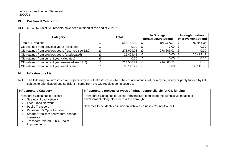# **13. Position at Year's End**

# 13.1. £554,762.58 of CIL receipts have been retained at the end of 2020/21

| Category                                             |  | <b>Total</b> |   | In Strategic<br><b>Infrastructure Strand</b> | In Neighbourhood<br><b>Improvement Strand</b> |
|------------------------------------------------------|--|--------------|---|----------------------------------------------|-----------------------------------------------|
| <b>Total CIL retained</b>                            |  | 554,762.58   | £ | 493,117.24   £                               | 61,645.34                                     |
| CIL retained from previous years (allocated)         |  | 0.00         |   | 0.00                                         | 0.00                                          |
| CIL retained from previous years (reserved see 12.2) |  | 278,609.03   |   | $278,609.03$   £                             | 0.00                                          |
| CIL retained from previous years (unallocated)       |  | 25,499.42    | £ | $0.00$   £                                   | 25,499.42                                     |
| CIL retained from current year (allocated)           |  | 0.00         | £ | $0.00$   £                                   | 0.00                                          |
| CIL retained from current year (reserved see 12.2)   |  | 214,508.21   | £ | 214,508.21   £                               | 0.00                                          |
| CIL retained from current year (unallocated)         |  | 36,145.92    | £ | 0.00                                         | 36,145.92                                     |

# **14. Infrastructure List**

14.1. The following are infrastructure projects or types of infrastructure which the council intends will, or may be, wholly or partly funded by CIL, subject to prioritisation and sufficient income from the CIL receipts being secured:

| <b>Infrastructure Category</b>        | Infrastructure projects or types of infrastructure eligible for CIL funding         |  |  |  |  |  |
|---------------------------------------|-------------------------------------------------------------------------------------|--|--|--|--|--|
| Transport & Sustainable Access:       | Transport & Sustainable Access infrastructure to mitigate the cumulative impacts of |  |  |  |  |  |
| <b>Strategic Road Network</b>         | development taking place across the borough.                                        |  |  |  |  |  |
| <b>Local Road Network</b>             |                                                                                     |  |  |  |  |  |
| <b>Public Transport</b>               | Schemes to be identified in liaison with West Sussex County Council.                |  |  |  |  |  |
| Pedestrian & Cycle Facilities         |                                                                                     |  |  |  |  |  |
| Smarter Choices/ behavioural change   |                                                                                     |  |  |  |  |  |
| measures                              |                                                                                     |  |  |  |  |  |
| <b>Transport Related Public Realm</b> |                                                                                     |  |  |  |  |  |
| Improvements                          |                                                                                     |  |  |  |  |  |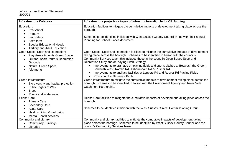| <b>Infrastructure Category</b>                                                                                                                                                                 | Infrastructure projects or types of infrastructure eligible for CIL funding                                                                                                                                                                                                                                                                                                                                                                                                                                                                                                                             |
|------------------------------------------------------------------------------------------------------------------------------------------------------------------------------------------------|---------------------------------------------------------------------------------------------------------------------------------------------------------------------------------------------------------------------------------------------------------------------------------------------------------------------------------------------------------------------------------------------------------------------------------------------------------------------------------------------------------------------------------------------------------------------------------------------------------|
| Education:<br>Pre-school<br>Primary<br>Secondary<br>Sixth form<br><b>Special Educational Needs</b><br><b>Tertiary and Adult Education</b>                                                      | Education facilities to mitigate the cumulative impacts of development taking place across the<br>borough.<br>Schemes to be identified in liaison with West Sussex County Council in line with their annual<br>Planning for School Places document.                                                                                                                                                                                                                                                                                                                                                     |
| Open Space, Sport and Recreation:<br>Play Areas Amenity Green Space<br>Outdoor sport Parks & Recreation<br>Grounds<br><b>Natural Green Space</b><br>$\bullet$<br><b>Allotments</b>             | Open Space, Sport and Recreation facilities to mitigate the cumulative impacts of development<br>taking place across the borough. Schemes to be identified in liaison with the council's<br>Community Services team, this includes those in the council's Open Space Sport and<br>Recreation Study and/or Playing Pitch Strategy:-<br>Improvements to drainage on playing fields and sports pitches at Bewbush the Green,<br>Bewbush West, Rathlin Rd, Ashburnham Rd & Rusper Rd.<br>Improvements to ancillary facilities at Loppets Rd and Rusper Rd Playing Fields<br>Provision of a 3G senior Pitch. |
| Green Infrastructure<br>Bio-diversity and habitat protection<br>$\bullet$<br>Public Rights of Way<br><b>Trees</b><br><b>Rivers and Waterways</b><br>$\bullet$                                  | Green Infrastructure to mitigate the cumulative impacts of development taking place across the<br>borough. Schemes to be identified in liaison with the Environment Agency and River Mole<br>Catchment Partnership.                                                                                                                                                                                                                                                                                                                                                                                     |
| <b>Health Care</b><br><b>Primary Care</b><br>$\bullet$<br><b>Secondary Care</b><br>$\bullet$<br><b>Acute Care</b><br>$\bullet$<br>Healthy Living & well being<br><b>Mental Health services</b> | Health Care facilities to mitigate the cumulative impacts of development taking place across the<br>borough.<br>Schemes to be identified in liaison with the West Sussex Clinical Commissioning Group.                                                                                                                                                                                                                                                                                                                                                                                                  |
| Community and Library<br><b>Community Buildings</b><br>Libraries                                                                                                                               | Community and Library facilities to mitigate the cumulative impacts of development taking<br>place across the borough. Schemes to be identified by West Sussex County Council and the<br>council's Community Services team.                                                                                                                                                                                                                                                                                                                                                                             |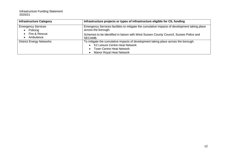| <b>Infrastructure Category</b>  | Infrastructure projects or types of infrastructure eligible for CIL funding                                                                                                                |
|---------------------------------|--------------------------------------------------------------------------------------------------------------------------------------------------------------------------------------------|
| <b>Emergency Services</b>       | Emergency Services facilities to mitigate the cumulative impacts of development taking place                                                                                               |
| Policing                        | across the borough.                                                                                                                                                                        |
| Fire & Rescue                   | Schemes to be identified in liaison with West Sussex County Council, Sussex Police and                                                                                                     |
| Ambulance                       | SECAMB.                                                                                                                                                                                    |
| <b>District Energy Networks</b> | To mitigate the cumulative impacts of development taking place across the borough.<br>K2 Leisure Centre Heat Network<br><b>Town Centre Heat Network</b><br><b>Manor Royal Heat Network</b> |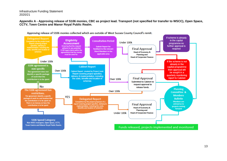**Appendix A - Approving release of S106 monies, CBC as project lead. Transport (not specified for transfer to WSCC), Open Space, CCTV, Town Centre and Manor Royal Public Realm.**



13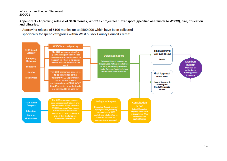#### **Appendix B - Approving release of S106 monies, WSCC as project lead. Transport (specified as transfer to WSCC), Fire, Education and Libraries.**

Approving release of \$106 monies up to £500,000 which have been collected specifically for spend categories within West Sussex County Council's remit.

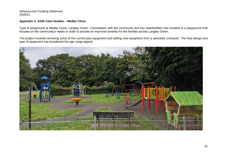# **Appendix C. S106 Case Studies – Medlar Close**

Type B playground at Medlar Close, Langley Green. Consultation with the community and key stakeholders has resulted in a playground that focuses on the community's needs in order to provide an improved amenity for the families across Langley Green.

The project involved removing some of the current play equipment and adding new equipment from a specialist contractor. The final design and type of equipment has broadened the age range appeal.

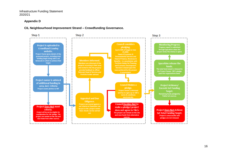## **Appendix D**

# **CIL Neighbourhood Improvement Strand – Crowdfunding Governance.**